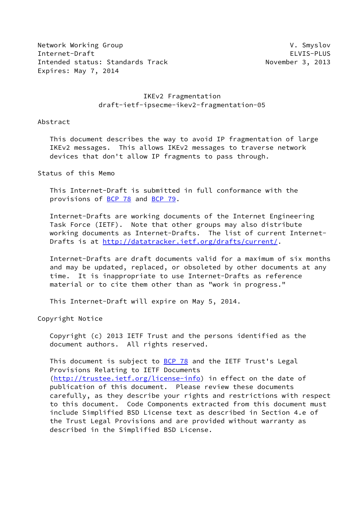Network Working Group **V. Smyslov** V. Smyslov Internet-Draft ELVIS-PLUS Intended status: Standards Track November 3, 2013 Expires: May 7, 2014

# IKEv2 Fragmentation draft-ietf-ipsecme-ikev2-fragmentation-05

Abstract

 This document describes the way to avoid IP fragmentation of large IKEv2 messages. This allows IKEv2 messages to traverse network devices that don't allow IP fragments to pass through.

Status of this Memo

 This Internet-Draft is submitted in full conformance with the provisions of [BCP 78](https://datatracker.ietf.org/doc/pdf/bcp78) and [BCP 79](https://datatracker.ietf.org/doc/pdf/bcp79).

 Internet-Drafts are working documents of the Internet Engineering Task Force (IETF). Note that other groups may also distribute working documents as Internet-Drafts. The list of current Internet Drafts is at<http://datatracker.ietf.org/drafts/current/>.

 Internet-Drafts are draft documents valid for a maximum of six months and may be updated, replaced, or obsoleted by other documents at any time. It is inappropriate to use Internet-Drafts as reference material or to cite them other than as "work in progress."

This Internet-Draft will expire on May 5, 2014.

Copyright Notice

 Copyright (c) 2013 IETF Trust and the persons identified as the document authors. All rights reserved.

This document is subject to **[BCP 78](https://datatracker.ietf.org/doc/pdf/bcp78)** and the IETF Trust's Legal Provisions Relating to IETF Documents [\(http://trustee.ietf.org/license-info](http://trustee.ietf.org/license-info)) in effect on the date of publication of this document. Please review these documents carefully, as they describe your rights and restrictions with respect to this document. Code Components extracted from this document must include Simplified BSD License text as described in Section 4.e of the Trust Legal Provisions and are provided without warranty as described in the Simplified BSD License.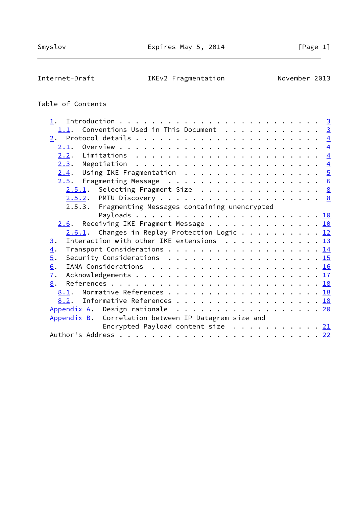Internet-Draft IKEv2 Fragmentation November 2013

# Table of Contents

| 1.                                                                                                           |  |
|--------------------------------------------------------------------------------------------------------------|--|
| Conventions Used in This Document $\cdots$ 3<br>1.1.                                                         |  |
|                                                                                                              |  |
|                                                                                                              |  |
|                                                                                                              |  |
|                                                                                                              |  |
| $2.4$ . Using IKE Fragmentation 5                                                                            |  |
|                                                                                                              |  |
| $2.5.1$ . Selecting Fragment Size 8                                                                          |  |
|                                                                                                              |  |
| 2.5.3. Fragmenting Messages containing unencrypted                                                           |  |
|                                                                                                              |  |
| $2.6$ . Receiving IKE Fragment Message 10                                                                    |  |
| $2.6.1$ . Changes in Replay Protection Logic 12                                                              |  |
| Interaction with other IKE extensions $\cdots$ 13<br>3.                                                      |  |
| 4.                                                                                                           |  |
| $\overline{5}$ .<br>Security Considerations $\ldots \ldots \ldots \ldots \ldots \ldots \ldots \frac{15}{15}$ |  |
| 6.                                                                                                           |  |
| $\overline{1}$ .                                                                                             |  |
| 8.                                                                                                           |  |
| Normative References 18<br>8.1.                                                                              |  |
| 8.2. Informative References 18                                                                               |  |
| Appendix A. Design rationale 20                                                                              |  |
| Appendix B. Correlation between IP Datagram size and                                                         |  |
| Encrypted Payload content size $\cdots$ 21                                                                   |  |
|                                                                                                              |  |
|                                                                                                              |  |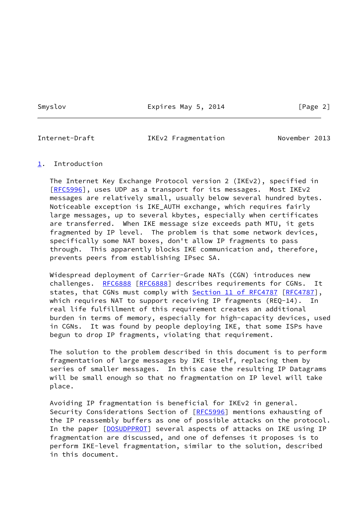Smyslov **Expires May 5, 2014** [Page 2]

<span id="page-2-1"></span>

Internet-Draft IKEv2 Fragmentation November 2013

#### <span id="page-2-0"></span>[1](#page-2-0). Introduction

 The Internet Key Exchange Protocol version 2 (IKEv2), specified in [\[RFC5996](https://datatracker.ietf.org/doc/pdf/rfc5996)], uses UDP as a transport for its messages. Most IKEv2 messages are relatively small, usually below several hundred bytes. Noticeable exception is IKE\_AUTH exchange, which requires fairly large messages, up to several kbytes, especially when certificates are transferred. When IKE message size exceeds path MTU, it gets fragmented by IP level. The problem is that some network devices, specifically some NAT boxes, don't allow IP fragments to pass through. This apparently blocks IKE communication and, therefore, prevents peers from establishing IPsec SA.

 Widespread deployment of Carrier-Grade NATs (CGN) introduces new challenges. [RFC6888](https://datatracker.ietf.org/doc/pdf/rfc6888) [\[RFC6888](https://datatracker.ietf.org/doc/pdf/rfc6888)] describes requirements for CGNs. It states, that CGNs must comply with **Section 11 of RFC4787** [\[RFC4787](https://datatracker.ietf.org/doc/pdf/rfc4787)], which requires NAT to support receiving IP fragments (REQ-14). In real life fulfillment of this requirement creates an additional burden in terms of memory, especially for high-capacity devices, used in CGNs. It was found by people deploying IKE, that some ISPs have begun to drop IP fragments, violating that requirement.

 The solution to the problem described in this document is to perform fragmentation of large messages by IKE itself, replacing them by series of smaller messages. In this case the resulting IP Datagrams will be small enough so that no fragmentation on IP level will take place.

 Avoiding IP fragmentation is beneficial for IKEv2 in general. Security Considerations Section of [[RFC5996\]](https://datatracker.ietf.org/doc/pdf/rfc5996) mentions exhausting of the IP reassembly buffers as one of possible attacks on the protocol. In the paper [\[DOSUDPPROT\]](#page-20-0) several aspects of attacks on IKE using IP fragmentation are discussed, and one of defenses it proposes is to perform IKE-level fragmentation, similar to the solution, described in this document.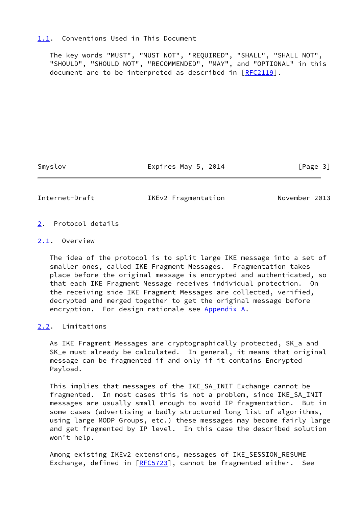#### <span id="page-3-0"></span>[1.1](#page-3-0). Conventions Used in This Document

 The key words "MUST", "MUST NOT", "REQUIRED", "SHALL", "SHALL NOT", "SHOULD", "SHOULD NOT", "RECOMMENDED", "MAY", and "OPTIONAL" in this document are to be interpreted as described in [\[RFC2119](https://datatracker.ietf.org/doc/pdf/rfc2119)].

Smyslov Expires May 5, 2014 [Page 3]

<span id="page-3-2"></span>

Internet-Draft IKEv2 Fragmentation November 2013

- <span id="page-3-1"></span>[2](#page-3-1). Protocol details
- <span id="page-3-3"></span>[2.1](#page-3-3). Overview

 The idea of the protocol is to split large IKE message into a set of smaller ones, called IKE Fragment Messages. Fragmentation takes place before the original message is encrypted and authenticated, so that each IKE Fragment Message receives individual protection. On the receiving side IKE Fragment Messages are collected, verified, decrypted and merged together to get the original message before encryption. For design rationale see [Appendix A.](#page-21-0)

<span id="page-3-4"></span>[2.2](#page-3-4). Limitations

 As IKE Fragment Messages are cryptographically protected, SK\_a and SK\_e must already be calculated. In general, it means that original message can be fragmented if and only if it contains Encrypted Payload.

 This implies that messages of the IKE\_SA\_INIT Exchange cannot be fragmented. In most cases this is not a problem, since IKE\_SA\_INIT messages are usually small enough to avoid IP fragmentation. But in some cases (advertising a badly structured long list of algorithms, using large MODP Groups, etc.) these messages may become fairly large and get fragmented by IP level. In this case the described solution won't help.

 Among existing IKEv2 extensions, messages of IKE\_SESSION\_RESUME Exchange, defined in [\[RFC5723](https://datatracker.ietf.org/doc/pdf/rfc5723)], cannot be fragmented either. See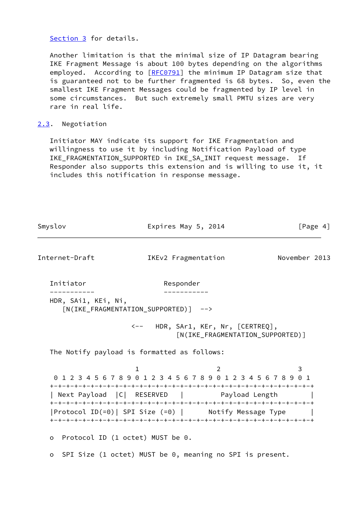[Section 3](#page-13-0) for details.

 Another limitation is that the minimal size of IP Datagram bearing IKE Fragment Message is about 100 bytes depending on the algorithms employed. According to [\[RFC0791](https://datatracker.ietf.org/doc/pdf/rfc0791)] the minimum IP Datagram size that is guaranteed not to be further fragmented is 68 bytes. So, even the smallest IKE Fragment Messages could be fragmented by IP level in some circumstances. But such extremely small PMTU sizes are very rare in real life.

# <span id="page-4-0"></span>[2.3](#page-4-0). Negotiation

 Initiator MAY indicate its support for IKE Fragmentation and willingness to use it by including Notification Payload of type IKE\_FRAGMENTATION\_SUPPORTED in IKE\_SA\_INIT request message. If Responder also supports this extension and is willing to use it, it includes this notification in response message.

Smyslov **Expires May 5, 2014** [Page 4]

<span id="page-4-1"></span>

| Internet-Draft                                                  | IKEv2 Fragmentation                                      |                                                                        | November 2013 |
|-----------------------------------------------------------------|----------------------------------------------------------|------------------------------------------------------------------------|---------------|
| Initiator                                                       | Responder                                                |                                                                        |               |
| HDR, SAi1, KEi, Ni,                                             | [N(IKE_FRAGMENTATION_SUPPORTED)] -->                     |                                                                        |               |
|                                                                 |                                                          | <-- HDR, SAr1, KEr, Nr, [CERTREQ],<br>[N(IKE_FRAGMENTATION_SUPPORTED)] |               |
| The Notify payload is formatted as follows:                     |                                                          |                                                                        |               |
| 0 1 2 3 4 5 6 7 8 9 0 1 2 3 4 5 6 7 8 9 0 1 2 3 4 5 6 7 8 9 0 1 |                                                          |                                                                        | 3             |
| Next Payload   C   RESERVED   Payload Length                    |                                                          |                                                                        |               |
| Protocol ID(=0)  SPI Size (=0)   Notify Message Type            |                                                          |                                                                        |               |
| $\circ$                                                         | Protocol ID (1 octet) MUST be 0.                         |                                                                        |               |
| $\circ$                                                         | SPI Size (1 octet) MUST be 0, meaning no SPI is present. |                                                                        |               |
|                                                                 |                                                          |                                                                        |               |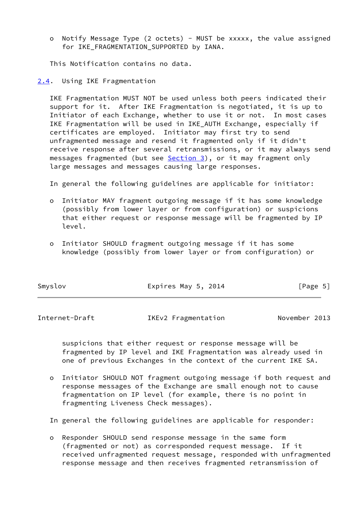o Notify Message Type (2 octets) - MUST be xxxxx, the value assigned for IKE FRAGMENTATION SUPPORTED by IANA.

This Notification contains no data.

<span id="page-5-0"></span>[2.4](#page-5-0). Using IKE Fragmentation

 IKE Fragmentation MUST NOT be used unless both peers indicated their support for it. After IKE Fragmentation is negotiated, it is up to Initiator of each Exchange, whether to use it or not. In most cases IKE Fragmentation will be used in IKE\_AUTH Exchange, especially if certificates are employed. Initiator may first try to send unfragmented message and resend it fragmented only if it didn't receive response after several retransmissions, or it may always send messages fragmented (but see **Section 3)**, or it may fragment only large messages and messages causing large responses.

In general the following guidelines are applicable for initiator:

- o Initiator MAY fragment outgoing message if it has some knowledge (possibly from lower layer or from configuration) or suspicions that either request or response message will be fragmented by IP level.
- o Initiator SHOULD fragment outgoing message if it has some knowledge (possibly from lower layer or from configuration) or

| [Page 5]<br>Smyslov<br>Expires May 5, 2014 |  |
|--------------------------------------------|--|
|--------------------------------------------|--|

<span id="page-5-1"></span>Internet-Draft IKEv2 Fragmentation November 2013

 suspicions that either request or response message will be fragmented by IP level and IKE Fragmentation was already used in one of previous Exchanges in the context of the current IKE SA.

 o Initiator SHOULD NOT fragment outgoing message if both request and response messages of the Exchange are small enough not to cause fragmentation on IP level (for example, there is no point in fragmenting Liveness Check messages).

In general the following guidelines are applicable for responder:

 o Responder SHOULD send response message in the same form (fragmented or not) as corresponded request message. If it received unfragmented request message, responded with unfragmented response message and then receives fragmented retransmission of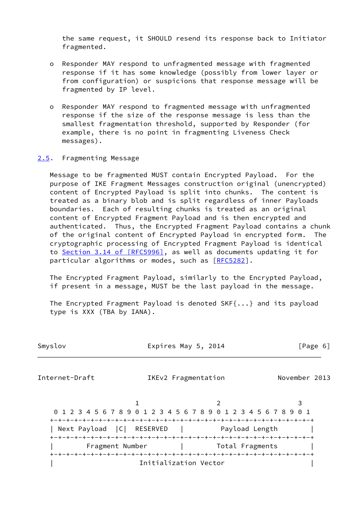the same request, it SHOULD resend its response back to Initiator fragmented.

- o Responder MAY respond to unfragmented message with fragmented response if it has some knowledge (possibly from lower layer or from configuration) or suspicions that response message will be fragmented by IP level.
- o Responder MAY respond to fragmented message with unfragmented response if the size of the response message is less than the smallest fragmentation threshold, supported by Responder (for example, there is no point in fragmenting Liveness Check messages).

#### <span id="page-6-0"></span>[2.5](#page-6-0). Fragmenting Message

 Message to be fragmented MUST contain Encrypted Payload. For the purpose of IKE Fragment Messages construction original (unencrypted) content of Encrypted Payload is split into chunks. The content is treated as a binary blob and is split regardless of inner Payloads boundaries. Each of resulting chunks is treated as an original content of Encrypted Fragment Payload and is then encrypted and authenticated. Thus, the Encrypted Fragment Payload contains a chunk of the original content of Encrypted Payload in encrypted form. The cryptographic processing of Encrypted Fragment Payload is identical to Section [3.14 of \[RFC5996\],](https://datatracker.ietf.org/doc/pdf/rfc5996#section-3.14) as well as documents updating it for particular algorithms or modes, such as [\[RFC5282](https://datatracker.ietf.org/doc/pdf/rfc5282)].

 The Encrypted Fragment Payload, similarly to the Encrypted Payload, if present in a message, MUST be the last payload in the message.

 The Encrypted Fragment Payload is denoted SKF{...} and its payload type is XXX (TBA by IANA).

| <b>SMVS</b> | Ωv |
|-------------|----|
|             |    |

Expires May 5, 2014  $[Page 6]$ 

Internet-Draft IKEv2 Fragmentation November 2013

1 2 3 0 1 2 3 4 5 6 7 8 9 0 1 2 3 4 5 6 7 8 9 0 1 2 3 4 5 6 7 8 9 0 1 +-+-+-+-+-+-+-+-+-+-+-+-+-+-+-+-+-+-+-+-+-+-+-+-+-+-+-+-+-+-+-+-+ | Next Payload | C | RESERVED | Payload Length +-+-+-+-+-+-+-+-+-+-+-+-+-+-+-+-+-+-+-+-+-+-+-+-+-+-+-+-+-+-+-+-+ | Fragment Number | Total Fragments | +-+-+-+-+-+-+-+-+-+-+-+-+-+-+-+-+-+-+-+-+-+-+-+-+-+-+-+-+-+-+-+-+ Initialization Vector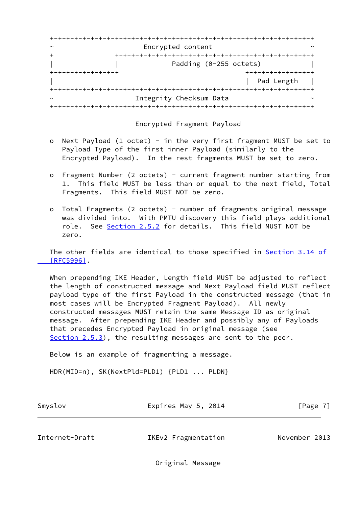| $\sim$            | Encrypted content       |                        |
|-------------------|-------------------------|------------------------|
|                   |                         |                        |
|                   |                         | Padding (0-255 octets) |
| +-+-+-+-+-+-+-+-+ |                         | +-+-+-+-+-+-+-+-+      |
|                   |                         | Pad Length             |
|                   |                         |                        |
| $\sim$            | Integrity Checksum Data |                        |
|                   |                         |                        |

# Encrypted Fragment Payload

- o Next Payload (1 octet) in the very first fragment MUST be set to Payload Type of the first inner Payload (similarly to the Encrypted Payload). In the rest fragments MUST be set to zero.
- o Fragment Number (2 octets) current fragment number starting from 1. This field MUST be less than or equal to the next field, Total Fragments. This field MUST NOT be zero.
- o Total Fragments (2 octets) number of fragments original message was divided into. With PMTU discovery this field plays additional role. See [Section 2.5.2](#page-8-1) for details. This field MUST NOT be zero.

The other fields are identical to those specified in **Section 3.14 of**  [\[RFC5996\]](https://datatracker.ietf.org/doc/pdf/rfc5996#section-3.14).

 When prepending IKE Header, Length field MUST be adjusted to reflect the length of constructed message and Next Payload field MUST reflect payload type of the first Payload in the constructed message (that in most cases will be Encrypted Fragment Payload). All newly constructed messages MUST retain the same Message ID as original message. After prepending IKE Header and possibly any of Payloads that precedes Encrypted Payload in original message (see [Section 2.5.3](#page-10-2)), the resulting messages are sent to the peer.

Below is an example of fragmenting a message.

HDR(MID=n), SK(NextPld=PLD1) {PLD1 ... PLDN}

| Smyslov | Expires May 5, 2014 | [Page 7] |
|---------|---------------------|----------|
|---------|---------------------|----------|

<span id="page-7-0"></span>Internet-Draft IKEv2 Fragmentation November 2013

Original Message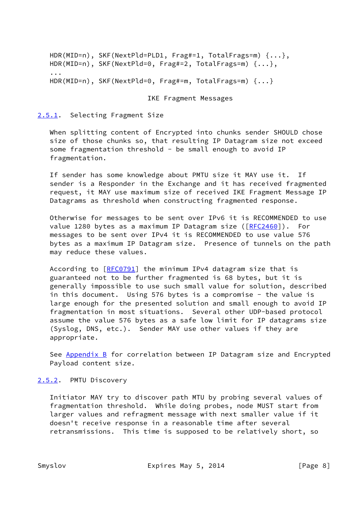```
 HDR(MID=n), SKF(NextPld=PLD1, Frag#=1, TotalFrags=m) {...},
  HDR(MID=n), SKF(NextPld=0, Frag#=2, TotalFrags=m) {...},
...
  HDR(MID=n), SKF(NextPld=0, Frag#=m, TotalFrags=m) {...}
```
#### IKE Fragment Messages

# <span id="page-8-0"></span>[2.5.1](#page-8-0). Selecting Fragment Size

 When splitting content of Encrypted into chunks sender SHOULD chose size of those chunks so, that resulting IP Datagram size not exceed some fragmentation threshold - be small enough to avoid IP fragmentation.

 If sender has some knowledge about PMTU size it MAY use it. If sender is a Responder in the Exchange and it has received fragmented request, it MAY use maximum size of received IKE Fragment Message IP Datagrams as threshold when constructing fragmented response.

 Otherwise for messages to be sent over IPv6 it is RECOMMENDED to use value 1280 bytes as a maximum IP Datagram size ([\[RFC2460](https://datatracker.ietf.org/doc/pdf/rfc2460)]). For messages to be sent over IPv4 it is RECOMMENDED to use value 576 bytes as a maximum IP Datagram size. Presence of tunnels on the path may reduce these values.

According to [\[RFC0791](https://datatracker.ietf.org/doc/pdf/rfc0791)] the minimum IPv4 datagram size that is guaranteed not to be further fragmented is 68 bytes, but it is generally impossible to use such small value for solution, described in this document. Using 576 bytes is a compromise - the value is large enough for the presented solution and small enough to avoid IP fragmentation in most situations. Several other UDP-based protocol assume the value 576 bytes as a safe low limit for IP datagrams size (Syslog, DNS, etc.). Sender MAY use other values if they are appropriate.

See [Appendix B](#page-22-0) for correlation between IP Datagram size and Encrypted Payload content size.

# <span id="page-8-1"></span>[2.5.2](#page-8-1). PMTU Discovery

 Initiator MAY try to discover path MTU by probing several values of fragmentation threshold. While doing probes, node MUST start from larger values and refragment message with next smaller value if it doesn't receive response in a reasonable time after several retransmissions. This time is supposed to be relatively short, so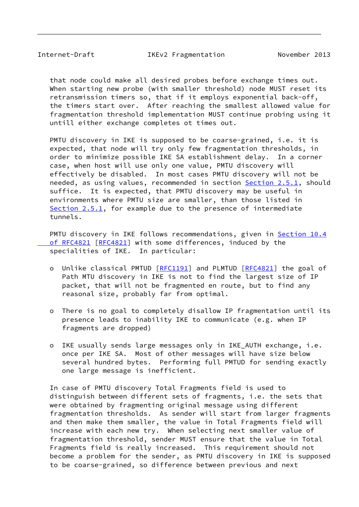Internet-Draft IKEv2 Fragmentation November 2013

 that node could make all desired probes before exchange times out. When starting new probe (with smaller threshold) node MUST reset its retransmission timers so, that if it employs exponential back-off, the timers start over. After reaching the smallest allowed value for fragmentation threshold implementation MUST continue probing using it untill either exchange completes ot times out.

 PMTU discovery in IKE is supposed to be coarse-grained, i.e. it is expected, that node will try only few fragmentation thresholds, in order to minimize possible IKE SA establishment delay. In a corner case, when host will use only one value, PMTU discovery will effectively be disabled. In most cases PMTU discovery will not be needed, as using values, recommended in section [Section 2.5.1](#page-8-0), should suffice. It is expected, that PMTU discovery may be useful in environments where PMTU size are smaller, than those listed in [Section 2.5.1](#page-8-0), for example due to the presence of intermediate tunnels.

PMTU discovery in IKE follows recommendations, given in [Section](https://datatracker.ietf.org/doc/pdf/rfc4821#section-10.4) 10.4 of RFC4821 [[RFC4821\]](https://datatracker.ietf.org/doc/pdf/rfc4821) with some differences, induced by the specialities of IKE. In particular:

- o Unlike classical PMTUD [[RFC1191](https://datatracker.ietf.org/doc/pdf/rfc1191)] and PLMTUD [\[RFC4821](https://datatracker.ietf.org/doc/pdf/rfc4821)] the goal of Path MTU discovery in IKE is not to find the largest size of IP packet, that will not be fragmented en route, but to find any reasonal size, probably far from optimal.
- o There is no goal to completely disallow IP fragmentation until its presence leads to inability IKE to communicate (e.g. when IP fragments are dropped)
- o IKE usually sends large messages only in IKE\_AUTH exchange, i.e. once per IKE SA. Most of other messages will have size below several hundred bytes. Performing full PMTUD for sending exactly one large message is inefficient.

 In case of PMTU discovery Total Fragments field is used to distinguish between different sets of fragments, i.e. the sets that were obtained by fragmenting original message using different fragmentation thresholds. As sender will start from larger fragments and then make them smaller, the value in Total Fragments field will increase with each new try. When selecting next smaller value of fragmentation threshold, sender MUST ensure that the value in Total Fragments field is really increased. This requirement should not become a problem for the sender, as PMTU discovery in IKE is supposed to be coarse-grained, so difference between previous and next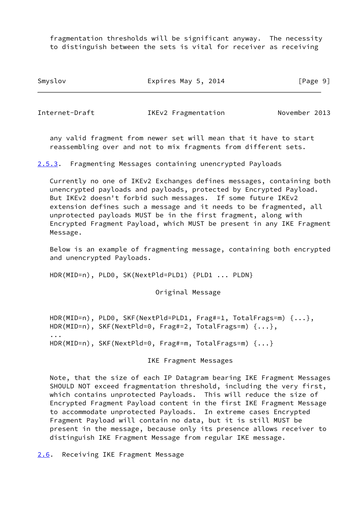fragmentation thresholds will be significant anyway. The necessity to distinguish between the sets is vital for receiver as receiving

Smyslov **Expires May 5, 2014** [Page 9]

<span id="page-10-0"></span>

Internet-Draft IKEv2 Fragmentation November 2013

 any valid fragment from newer set will mean that it have to start reassembling over and not to mix fragments from different sets.

<span id="page-10-2"></span>[2.5.3](#page-10-2). Fragmenting Messages containing unencrypted Payloads

 Currently no one of IKEv2 Exchanges defines messages, containing both unencrypted payloads and payloads, protected by Encrypted Payload. But IKEv2 doesn't forbid such messages. If some future IKEv2 extension defines such a message and it needs to be fragmented, all unprotected payloads MUST be in the first fragment, along with Encrypted Fragment Payload, which MUST be present in any IKE Fragment Message.

 Below is an example of fragmenting message, containing both encrypted and unencrypted Payloads.

HDR(MID=n), PLD0, SK(NextPld=PLD1) {PLD1 ... PLDN}

Original Message

 HDR(MID=n), PLD0, SKF(NextPld=PLD1, Frag#=1, TotalFrags=m) {...}, HDR(MID=n), SKF(NextPld=0, Frag#=2, TotalFrags=m) {...}, ... HDR(MID=n), SKF(NextPld=0, Frag#=m, TotalFrags=m) {...}

IKE Fragment Messages

 Note, that the size of each IP Datagram bearing IKE Fragment Messages SHOULD NOT exceed fragmentation threshold, including the very first, which contains unprotected Payloads. This will reduce the size of Encrypted Fragment Payload content in the first IKE Fragment Message to accommodate unprotected Payloads. In extreme cases Encrypted Fragment Payload will contain no data, but it is still MUST be present in the message, because only its presence allows receiver to distinguish IKE Fragment Message from regular IKE message.

<span id="page-10-1"></span>[2.6](#page-10-1). Receiving IKE Fragment Message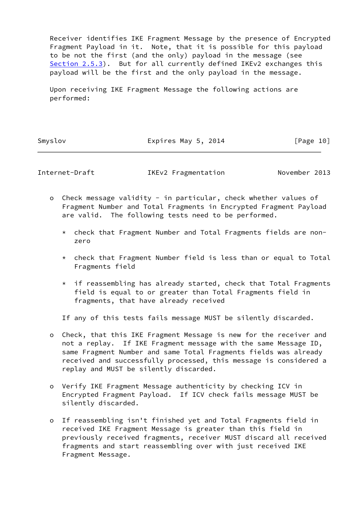Receiver identifies IKE Fragment Message by the presence of Encrypted Fragment Payload in it. Note, that it is possible for this payload to be not the first (and the only) payload in the message (see [Section 2.5.3](#page-10-2)). But for all currently defined IKEv2 exchanges this payload will be the first and the only payload in the message.

 Upon receiving IKE Fragment Message the following actions are performed:

Smyslov **Expires May 5, 2014** [Page 10]

Internet-Draft IKEv2 Fragmentation November 2013

- o Check message validity in particular, check whether values of Fragment Number and Total Fragments in Encrypted Fragment Payload are valid. The following tests need to be performed.
	- \* check that Fragment Number and Total Fragments fields are non zero
	- \* check that Fragment Number field is less than or equal to Total Fragments field
	- \* if reassembling has already started, check that Total Fragments field is equal to or greater than Total Fragments field in fragments, that have already received

If any of this tests fails message MUST be silently discarded.

- o Check, that this IKE Fragment Message is new for the receiver and not a replay. If IKE Fragment message with the same Message ID, same Fragment Number and same Total Fragments fields was already received and successfully processed, this message is considered a replay and MUST be silently discarded.
- o Verify IKE Fragment Message authenticity by checking ICV in Encrypted Fragment Payload. If ICV check fails message MUST be silently discarded.
- o If reassembling isn't finished yet and Total Fragments field in received IKE Fragment Message is greater than this field in previously received fragments, receiver MUST discard all received fragments and start reassembling over with just received IKE Fragment Message.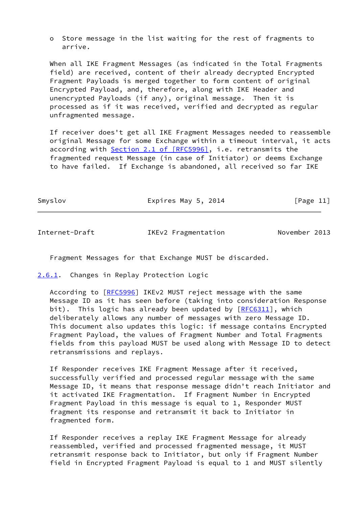o Store message in the list waiting for the rest of fragments to arrive.

 When all IKE Fragment Messages (as indicated in the Total Fragments field) are received, content of their already decrypted Encrypted Fragment Payloads is merged together to form content of original Encrypted Payload, and, therefore, along with IKE Header and unencrypted Payloads (if any), original message. Then it is processed as if it was received, verified and decrypted as regular unfragmented message.

 If receiver does't get all IKE Fragment Messages needed to reassemble original Message for some Exchange within a timeout interval, it acts according with Section [2.1 of \[RFC5996\],](https://datatracker.ietf.org/doc/pdf/rfc5996#section-2.1) i.e. retransmits the fragmented request Message (in case of Initiator) or deems Exchange to have failed. If Exchange is abandoned, all received so far IKE

Smyslov **Expires May 5, 2014** [Page 11]

<span id="page-12-1"></span>Internet-Draft IKEv2 Fragmentation November 2013

Fragment Messages for that Exchange MUST be discarded.

<span id="page-12-0"></span>[2.6.1](#page-12-0). Changes in Replay Protection Logic

According to [\[RFC5996](https://datatracker.ietf.org/doc/pdf/rfc5996)] IKEv2 MUST reject message with the same Message ID as it has seen before (taking into consideration Response bit). This logic has already been updated by  $[REC6311]$ , which deliberately allows any number of messages with zero Message ID. This document also updates this logic: if message contains Encrypted Fragment Payload, the values of Fragment Number and Total Fragments fields from this payload MUST be used along with Message ID to detect retransmissions and replays.

 If Responder receives IKE Fragment Message after it received, successfully verified and processed regular message with the same Message ID, it means that response message didn't reach Initiator and it activated IKE Fragmentation. If Fragment Number in Encrypted Fragment Payload in this message is equal to 1, Responder MUST fragment its response and retransmit it back to Initiator in fragmented form.

 If Responder receives a replay IKE Fragment Message for already reassembled, verified and processed fragmented message, it MUST retransmit response back to Initiator, but only if Fragment Number field in Encrypted Fragment Payload is equal to 1 and MUST silently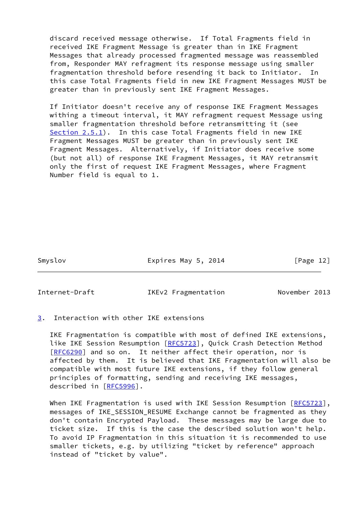discard received message otherwise. If Total Fragments field in received IKE Fragment Message is greater than in IKE Fragment Messages that already processed fragmented message was reassembled from, Responder MAY refragment its response message using smaller fragmentation threshold before resending it back to Initiator. In this case Total Fragments field in new IKE Fragment Messages MUST be greater than in previously sent IKE Fragment Messages.

 If Initiator doesn't receive any of response IKE Fragment Messages withing a timeout interval, it MAY refragment request Message using smaller fragmentation threshold before retransmitting it (see [Section 2.5.1](#page-8-0)). In this case Total Fragments field in new IKE Fragment Messages MUST be greater than in previously sent IKE Fragment Messages. Alternatively, if Initiator does receive some (but not all) of response IKE Fragment Messages, it MAY retransmit only the first of request IKE Fragment Messages, where Fragment Number field is equal to 1.

Smyslov **Expires May 5, 2014** [Page 12]

<span id="page-13-1"></span>

Internet-Draft IKEv2 Fragmentation November 2013

<span id="page-13-0"></span>[3](#page-13-0). Interaction with other IKE extensions

 IKE Fragmentation is compatible with most of defined IKE extensions, like IKE Session Resumption [\[RFC5723](https://datatracker.ietf.org/doc/pdf/rfc5723)], Quick Crash Detection Method [\[RFC6290](https://datatracker.ietf.org/doc/pdf/rfc6290)] and so on. It neither affect their operation, nor is affected by them. It is believed that IKE Fragmentation will also be compatible with most future IKE extensions, if they follow general principles of formatting, sending and receiving IKE messages, described in [\[RFC5996](https://datatracker.ietf.org/doc/pdf/rfc5996)].

When IKE Fragmentation is used with IKE Session Resumption [[RFC5723\]](https://datatracker.ietf.org/doc/pdf/rfc5723), messages of IKE\_SESSION\_RESUME Exchange cannot be fragmented as they don't contain Encrypted Payload. These messages may be large due to ticket size. If this is the case the described solution won't help. To avoid IP Fragmentation in this situation it is recommended to use smaller tickets, e.g. by utilizing "ticket by reference" approach instead of "ticket by value".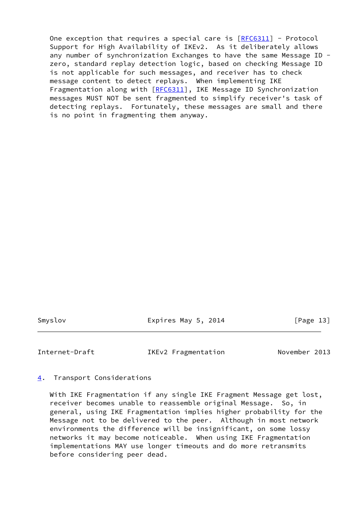One exception that requires a special care is  $[REC6311]$  - Protocol Support for High Availability of IKEv2. As it deliberately allows any number of synchronization Exchanges to have the same Message ID zero, standard replay detection logic, based on checking Message ID is not applicable for such messages, and receiver has to check message content to detect replays. When implementing IKE Fragmentation along with [\[RFC6311](https://datatracker.ietf.org/doc/pdf/rfc6311)], IKE Message ID Synchronization messages MUST NOT be sent fragmented to simplify receiver's task of detecting replays. Fortunately, these messages are small and there is no point in fragmenting them anyway.

Smyslov **Expires May 5, 2014** [Page 13]

<span id="page-14-1"></span>Internet-Draft IKEv2 Fragmentation November 2013

#### <span id="page-14-0"></span>[4](#page-14-0). Transport Considerations

 With IKE Fragmentation if any single IKE Fragment Message get lost, receiver becomes unable to reassemble original Message. So, in general, using IKE Fragmentation implies higher probability for the Message not to be delivered to the peer. Although in most network environments the difference will be insignificant, on some lossy networks it may become noticeable. When using IKE Fragmentation implementations MAY use longer timeouts and do more retransmits before considering peer dead.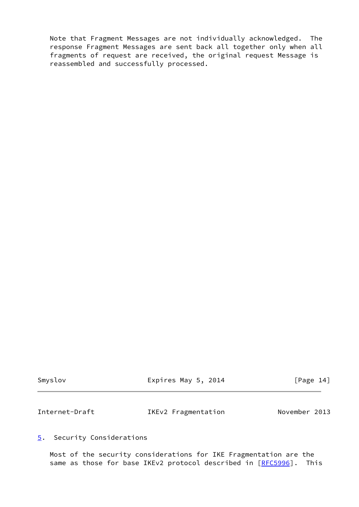Note that Fragment Messages are not individually acknowledged. The response Fragment Messages are sent back all together only when all fragments of request are received, the original request Message is reassembled and successfully processed.

<span id="page-15-1"></span>

| Smyslov        | Expires May 5, 2014 | [Page 14]     |
|----------------|---------------------|---------------|
| Internet-Draft | IKEv2 Fragmentation | November 2013 |

# <span id="page-15-0"></span>[5](#page-15-0). Security Considerations

 Most of the security considerations for IKE Fragmentation are the same as those for base IKEv2 protocol described in [[RFC5996\]](https://datatracker.ietf.org/doc/pdf/rfc5996). This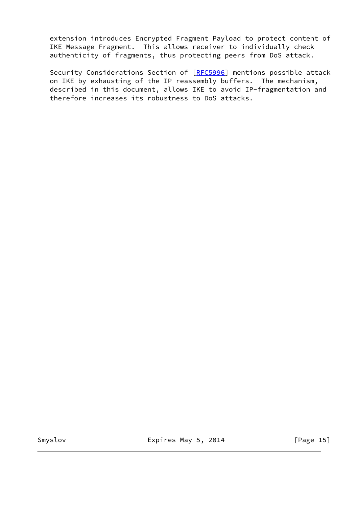extension introduces Encrypted Fragment Payload to protect content of IKE Message Fragment. This allows receiver to individually check authenticity of fragments, thus protecting peers from DoS attack.

Security Considerations Section of [[RFC5996\]](https://datatracker.ietf.org/doc/pdf/rfc5996) mentions possible attack on IKE by exhausting of the IP reassembly buffers. The mechanism, described in this document, allows IKE to avoid IP-fragmentation and therefore increases its robustness to DoS attacks.

Smyslov **Expires May 5, 2014** [Page 15]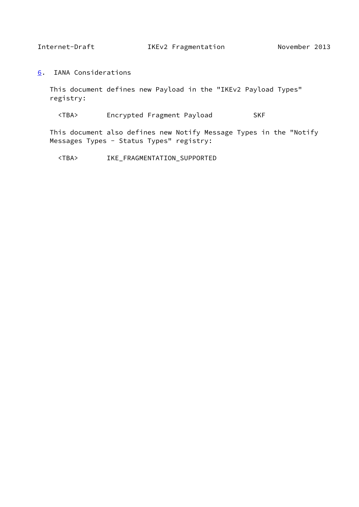<span id="page-17-1"></span>

<span id="page-17-0"></span>[6](#page-17-0). IANA Considerations

 This document defines new Payload in the "IKEv2 Payload Types" registry:

<TBA> Encrypted Fragment Payload SKF

 This document also defines new Notify Message Types in the "Notify Messages Types - Status Types" registry:

<TBA> IKE\_FRAGMENTATION\_SUPPORTED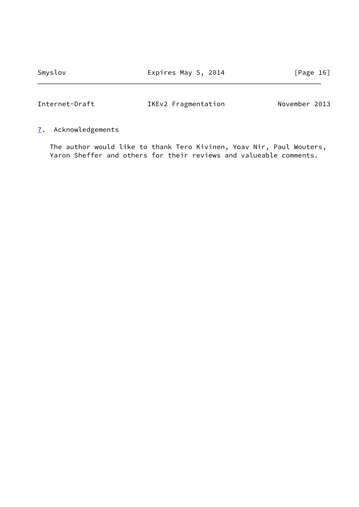Smyslov **Expires May 5, 2014** [Page 16]

# <span id="page-18-1"></span>Internet-Draft IKEv2 Fragmentation November 2013

<span id="page-18-0"></span>[7](#page-18-0). Acknowledgements

 The author would like to thank Tero Kivinen, Yoav Nir, Paul Wouters, Yaron Sheffer and others for their reviews and valueable comments.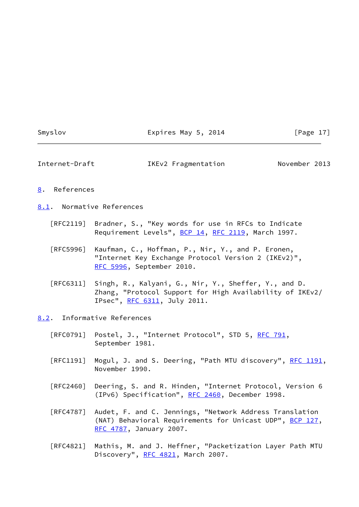#### Smyslov **Expires May 5, 2014** [Page 17]

<span id="page-19-1"></span>

| Internet-Draft | IKEv2 Fragmentation | November 2013 |
|----------------|---------------------|---------------|
|----------------|---------------------|---------------|

#### <span id="page-19-0"></span>[8](#page-19-0). References

<span id="page-19-2"></span>[8.1](#page-19-2). Normative References

- [RFC2119] Bradner, S., "Key words for use in RFCs to Indicate Requirement Levels", [BCP 14](https://datatracker.ietf.org/doc/pdf/bcp14), [RFC 2119](https://datatracker.ietf.org/doc/pdf/rfc2119), March 1997.
- [RFC5996] Kaufman, C., Hoffman, P., Nir, Y., and P. Eronen, "Internet Key Exchange Protocol Version 2 (IKEv2)", [RFC 5996,](https://datatracker.ietf.org/doc/pdf/rfc5996) September 2010.
- [RFC6311] Singh, R., Kalyani, G., Nir, Y., Sheffer, Y., and D. Zhang, "Protocol Support for High Availability of IKEv2/ IPsec", [RFC 6311,](https://datatracker.ietf.org/doc/pdf/rfc6311) July 2011.

<span id="page-19-3"></span>[8.2](#page-19-3). Informative References

- [RFC0791] Postel, J., "Internet Protocol", STD 5, [RFC 791](https://datatracker.ietf.org/doc/pdf/rfc791), September 1981.
- [RFC1191] Mogul, J. and S. Deering, "Path MTU discovery", [RFC 1191,](https://datatracker.ietf.org/doc/pdf/rfc1191) November 1990.
- [RFC2460] Deering, S. and R. Hinden, "Internet Protocol, Version 6 (IPv6) Specification", [RFC 2460](https://datatracker.ietf.org/doc/pdf/rfc2460), December 1998.
- [RFC4787] Audet, F. and C. Jennings, "Network Address Translation (NAT) Behavioral Requirements for Unicast UDP", [BCP 127](https://datatracker.ietf.org/doc/pdf/bcp127), [RFC 4787,](https://datatracker.ietf.org/doc/pdf/rfc4787) January 2007.
- [RFC4821] Mathis, M. and J. Heffner, "Packetization Layer Path MTU Discovery", [RFC 4821,](https://datatracker.ietf.org/doc/pdf/rfc4821) March 2007.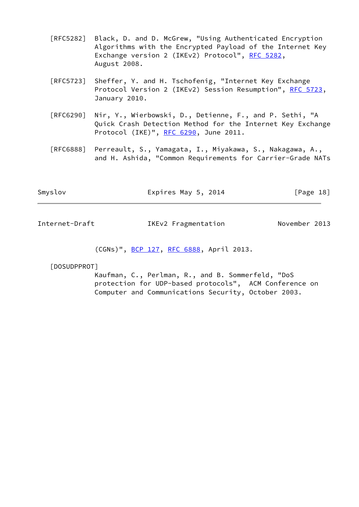- [RFC5282] Black, D. and D. McGrew, "Using Authenticated Encryption Algorithms with the Encrypted Payload of the Internet Key Exchange version 2 (IKEv2) Protocol", [RFC 5282](https://datatracker.ietf.org/doc/pdf/rfc5282), August 2008.
- [RFC5723] Sheffer, Y. and H. Tschofenig, "Internet Key Exchange Protocol Version 2 (IKEv2) Session Resumption", [RFC 5723,](https://datatracker.ietf.org/doc/pdf/rfc5723) January 2010.
- [RFC6290] Nir, Y., Wierbowski, D., Detienne, F., and P. Sethi, "A Quick Crash Detection Method for the Internet Key Exchange Protocol (IKE)", [RFC 6290,](https://datatracker.ietf.org/doc/pdf/rfc6290) June 2011.
- [RFC6888] Perreault, S., Yamagata, I., Miyakawa, S., Nakagawa, A., and H. Ashida, "Common Requirements for Carrier-Grade NATs

| Smyslov | Expires May 5, 2014 | [Page 18] |
|---------|---------------------|-----------|
|         |                     |           |

|  | Internet-Draft |  | IKEv2 Fragmentation | November 2013 |  |
|--|----------------|--|---------------------|---------------|--|
|--|----------------|--|---------------------|---------------|--|

# (CGNs)", [BCP 127,](https://datatracker.ietf.org/doc/pdf/bcp127) [RFC 6888](https://datatracker.ietf.org/doc/pdf/rfc6888), April 2013.

#### <span id="page-20-0"></span>[DOSUDPPROT]

 Kaufman, C., Perlman, R., and B. Sommerfeld, "DoS protection for UDP-based protocols", ACM Conference on Computer and Communications Security, October 2003.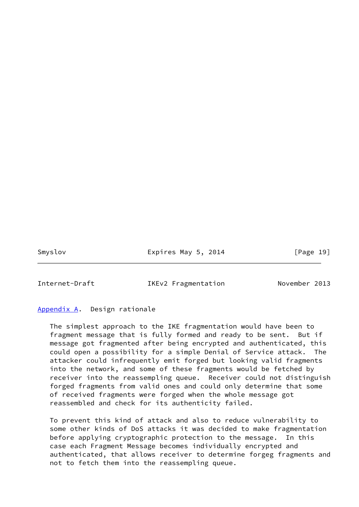Smyslov **Expires May 5, 2014** [Page 19]

<span id="page-21-1"></span>

Internet-Draft IKEv2 Fragmentation November 2013

#### <span id="page-21-0"></span>[Appendix A.](#page-21-0) Design rationale

 The simplest approach to the IKE fragmentation would have been to fragment message that is fully formed and ready to be sent. But if message got fragmented after being encrypted and authenticated, this could open a possibility for a simple Denial of Service attack. The attacker could infrequently emit forged but looking valid fragments into the network, and some of these fragments would be fetched by receiver into the reassempling queue. Receiver could not distinguish forged fragments from valid ones and could only determine that some of received fragments were forged when the whole message got reassembled and check for its authenticity failed.

 To prevent this kind of attack and also to reduce vulnerability to some other kinds of DoS attacks it was decided to make fragmentation before applying cryptographic protection to the message. In this case each Fragment Message becomes individually encrypted and authenticated, that allows receiver to determine forgeg fragments and not to fetch them into the reassempling queue.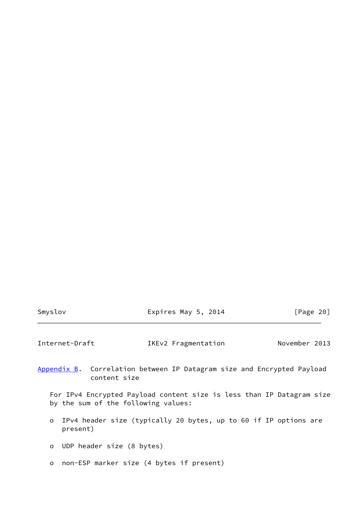| <b>SMVS LOV</b> |  |  |  |
|-----------------|--|--|--|
|-----------------|--|--|--|

 $\text{Iyslov}$  Expires May 5, 2014  $\text{[Page 20]}$ 

<span id="page-22-1"></span>Internet-Draft IKEv2 Fragmentation November 2013

<span id="page-22-0"></span>[Appendix B.](#page-22-0) Correlation between IP Datagram size and Encrypted Payload content size

 For IPv4 Encrypted Payload content size is less than IP Datagram size by the sum of the following values:

- o IPv4 header size (typically 20 bytes, up to 60 if IP options are present)
- o UDP header size (8 bytes)
- o non-ESP marker size (4 bytes if present)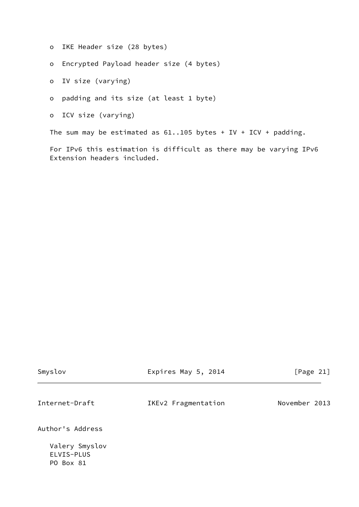- o IKE Header size (28 bytes)
- o Encrypted Payload header size (4 bytes)
- o IV size (varying)
- o padding and its size (at least 1 byte)
- o ICV size (varying)

The sum may be estimated as  $61..105$  bytes + IV + ICV + padding.

 For IPv6 this estimation is difficult as there may be varying IPv6 Extension headers included.

<span id="page-23-0"></span>

| Smyslov                                   | Expires May 5, 2014 | [Page 21]     |
|-------------------------------------------|---------------------|---------------|
| Internet-Draft                            | IKEv2 Fragmentation | November 2013 |
| Author's Address                          |                     |               |
| Valery Smyslov<br>ELVIS-PLUS<br>PO Box 81 |                     |               |